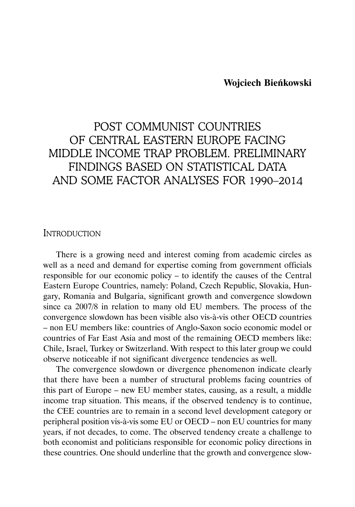### **Wojciech Bieńkowski**

# POST COMMUNIST COUNTRIES OF CENTRAL EASTERN EUROPE FACING MIDDLE INCOME TRAP PROBLEM. PRELIMINARY FINDINGS BASED ON STATISTICAL DATA AND SOME FACTOR ANALYSES FOR 1990–2014

### INTRODUCTION

There is a growing need and interest coming from academic circles as well as a need and demand for expertise coming from government officials responsible for our economic policy – to identify the causes of the Central Eastern Europe Countries, namely: Poland, Czech Republic, Slovakia, Hungary, Romania and Bulgaria, significant growth and convergence slowdown since ca 2007/8 in relation to many old EU members. The process of the convergence slowdown has been visible also vis-à-vis other OECD countries – non EU members like: countries of Anglo-Saxon socio economic model or countries of Far East Asia and most of the remaining OECD members like: Chile, Israel, Turkey or Switzerland. With respect to this later group we could observe noticeable if not significant divergence tendencies as well.

The convergence slowdown or divergence phenomenon indicate clearly that there have been a number of structural problems facing countries of this part of Europe – new EU member states, causing, as a result, a middle income trap situation. This means, if the observed tendency is to continue, the CEE countries are to remain in a second level development category or peripheral position vis-à-vis some EU or OECD – non EU countries for many years, if not decades, to come. The observed tendency create a challenge to both economist and politicians responsible for economic policy directions in these countries. One should underline that the growth and convergence slow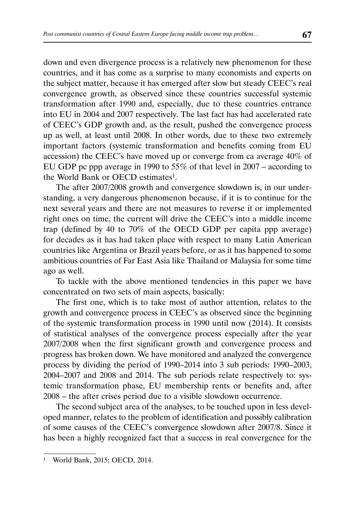down and even divergence process is a relatively new phenomenon for these countries, and it has come as a surprise to many economists and experts on the subject matter, because it has emerged after slow but steady CEEC's real convergence growth, as observed since these countries successful systemic transformation after 1990 and, especially, due to these countries entrance into EU in 2004 and 2007 respectively. The last fact has had accelerated rate of CEEC's GDP growth and, as the result, pushed the convergence process up as well, at least until 2008. In other words, due to these two extremely important factors (systemic transformation and benefits coming from EU accession) the CEEC's have moved up or converge from ca average 40% of EU GDP pc ppp average in 1990 to 55% of that level in 2007 – according to the World Bank or OECD estimates<sup>1</sup>.

The after 2007/2008 growth and convergence slowdown is, in our understanding, a very dangerous phenomenon because, if it is to continue for the next several years and there are not measures to reverse it or implemented right ones on time, the current will drive the CEEC's into a middle income trap (defined by 40 to 70% of the OECD GDP per capita ppp average) for decades as it has had taken place with respect to many Latin American countries like Argentina or Brazil years before, or as it has happened to some ambitious countries of Far East Asia like Thailand or Malaysia for some time ago as well.

To tackle with the above mentioned tendencies in this paper we have concentrated on two sets of main aspects, basically:

The first one, which is to take most of author attention, relates to the growth and convergence process in CEEC's as observed since the beginning of the systemic transformation process in 1990 until now (2014). It consists of statistical analyses of the convergence process especially after the year 2007/2008 when the first significant growth and convergence process and progress has broken down. We have monitored and analyzed the convergence process by dividing the period of 1990–2014 into 3 sub periods: 1990–2003, 2004–2007 and 2008 and 2014. The sub periods relate respectively to: systemic transformation phase, EU membership rents or benefits and, after 2008 – the after crises period due to a visible slowdown occurrence.

The second subject area of the analyses, to be touched upon in less developed manner, relates to the problem of identification and possibly calibration of some causes of the CEEC's convergence slowdown after 2007/8. Since it has been a highly recognized fact that a success in real convergence for the

World Bank, 2015; OECD, 2014.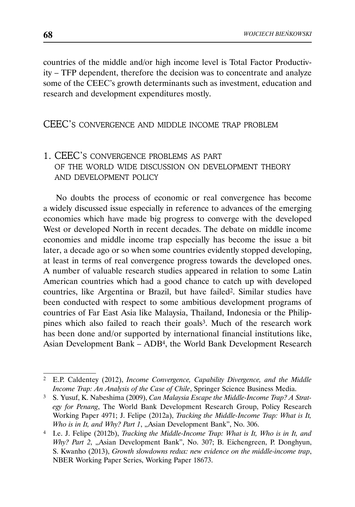countries of the middle and/or high income level is Total Factor Productivity – TFP dependent, therefore the decision was to concentrate and analyze some of the CEEC's growth determinants such as investment, education and research and development expenditures mostly.

# CEEC'S CONVERGENCE AND MIDDLE INCOME TRAP PROBLEM

# 1. CEEC'S CONVERGENCE PROBLEMS AS PART OF THE WORLD WIDE DISCUSSION ON DEVELOPMENT THEORY AND DEVELOPMENT POLICY

No doubts the process of economic or real convergence has become a widely discussed issue especially in reference to advances of the emerging economies which have made big progress to converge with the developed West or developed North in recent decades. The debate on middle income economies and middle income trap especially has become the issue a bit later, a decade ago or so when some countries evidently stopped developing, at least in terms of real convergence progress towards the developed ones. A number of valuable research studies appeared in relation to some Latin American countries which had a good chance to catch up with developed countries, like Argentina or Brazil, but have failed2. Similar studies have been conducted with respect to some ambitious development programs of countries of Far East Asia like Malaysia, Thailand, Indonesia or the Philippines which also failed to reach their goals3. Much of the research work has been done and/or supported by international financial institutions like, Asian Development Bank – ADB4, the World Bank Development Research

<sup>2</sup> E.P. Caldentey (2012), *Income Convergence, Capability Divergence, and the Middle Income Trap: An Analysis of the Case of Chile*, Springer Science Business Media.

<sup>3</sup> S. Yusuf, K. Nabeshima (2009), *Can Malaysia Escape the Middle-Income Trap? A Strategy for Penang*, The World Bank Development Research Group, Policy Research Working Paper 4971; J. Felipe (2012a), *Tracking the Middle-Income Trap: What is It, Who is in It, and Why? Part 1, "Asian Development Bank", No. 306.* 

<sup>4</sup> I.e. J. Felipe (2012b), *Tracking the Middle-Income Trap: What is It, Who is in It, and Why? Part 2*, "Asian Development Bank", No. 307; B. Eichengreen, P. Donghyun, S. Kwanho (2013), *Growth slowdowns redux: new evidence on the middle-income trap*, NBER Working Paper Series, Working Paper 18673.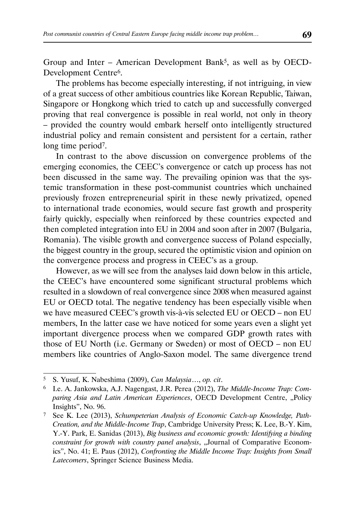Group and Inter – American Development Bank5, as well as by OECD-Development Centre6.

The problems has become especially interesting, if not intriguing, in view of a great success of other ambitious countries like Korean Republic, Taiwan, Singapore or Hongkong which tried to catch up and successfully converged proving that real convergence is possible in real world, not only in theory – provided the country would embark herself onto intelligently structured industrial policy and remain consistent and persistent for a certain, rather long time period<sup>7</sup>.

In contrast to the above discussion on convergence problems of the emerging economies, the CEEC's convergence or catch up process has not been discussed in the same way. The prevailing opinion was that the systemic transformation in these post-communist countries which unchained previously frozen entrepreneurial spirit in these newly privatized, opened to international trade economies, would secure fast growth and prosperity fairly quickly, especially when reinforced by these countries expected and then completed integration into EU in 2004 and soon after in 2007 (Bulgaria, Romania). The visible growth and convergence success of Poland especially, the biggest country in the group, secured the optimistic vision and opinion on the convergence process and progress in CEEC's as a group.

However, as we will see from the analyses laid down below in this article, the CEEC's have encountered some significant structural problems which resulted in a slowdown of real convergence since 2008 when measured against EU or OECD total. The negative tendency has been especially visible when we have measured CEEC's growth vis-à-vis selected EU or OECD – non EU members, In the latter case we have noticed for some years even a slight yet important divergence process when we compared GDP growth rates with those of EU North (i.e. Germany or Sweden) or most of OECD – non EU members like countries of Anglo-Saxon model. The same divergence trend

<sup>5</sup> S. Yusuf, K. Nabeshima (2009), *Can Malaysia*…, *op. cit*.

<sup>6</sup> I.e. A. Jankowska, A.J. Nagengast, J.R. Perea (2012), *The Middle-Income Trap: Com*paring Asia and Latin American Experiences, OECD Development Centre, "Policy Insights", No. 96.

<sup>7</sup> See K. Lee (2013), *Schumpeterian Analysis of Economic Catch-up Knowledge, Path-Creation, and the Middle-Income Trap*, Cambridge University Press; K. Lee, B.-Y. Kim, Y.-Y. Park, E. Sanidas (2013), *Big business and economic growth: Identifying a binding constraint for growth with country panel analysis*, "Journal of Comparative Economics", No. 41; E. Paus (2012), *Confronting the Middle Income Trap: Insights from Small Latecomers*, Springer Science Business Media.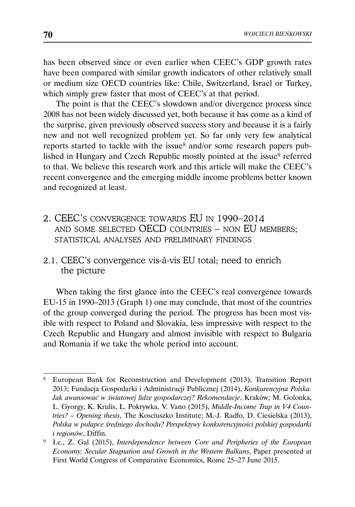has been observed since or even earlier when CEEC's GDP growth rates have been compared with similar growth indicators of other relatively small or medium size OECD countries like: Chile, Switzerland, Israel or Turkey, which simply grew faster that most of CEEC's at that period.

The point is that the CEEC's slowdown and/or divergence process since 2008 has not been widely discussed yet, both because it has come as a kind of the surprise, given previously observed success story and because it is a fairly new and not well recognized problem yet. So far only very few analytical reports started to tackle with the issue<sup>8</sup> and/or some research papers published in Hungary and Czech Republic mostly pointed at the issue<sup>9</sup> referred to that. We believe this research work and this article will make the CEEC's recent convergence and the emerging middle income problems better known and recognized at least.

- 2. CEEC'S CONVERGENCE TOWARDS EU IN 1990–2014 AND SOME SELECTED OECD COUNTRIES – NON EU MEMBERS; STATISTICAL ANALYSES AND PRELIMINARY FINDINGS
- 2.1. CEEC's convergence vis-à-vis EU total; need to enrich the picture

When taking the first glance into the CEEC's real convergence towards EU-15 in 1990–2013 (Graph 1) one may conclude, that most of the countries of the group converged during the period. The progress has been most visible with respect to Poland and Slovakia, less impressive with respect to the Czech Republic and Hungary and almost invisible with respect to Bulgaria and Romania if we take the whole period into account.

<sup>8</sup> European Bank for Reconstruction and Development (2013), Transition Report 2013; Fundacja Gospodarki i Administracji Publicznej (2014), *Konkurencyjna Polska. Jak awansować w światowej lidze gospodarczej? Rekomendacje*, Kraków; M. Golonka, L. Gyorgy, K. Krulis, Ł. Pokrywka, V. Vano (2015), *Middle-Income Trap in V4 Countries? – Opening thesis*, The Kosciuszko Institute; M.-J. Radło, D. Ciesielska (2013), *Polska w pułapce średniego dochodu? Perspektywy konkurencyjności polskiej gospodarki i regionów*, Diffin.

<sup>9</sup> I.e., Z. Gal (2015), *Interdependence between Core and Peripheries of the European Economy: Secular Stagnation and Growth in the Western Balkans*, Paper presented at First World Congress of Comparative Economics, Rome 25–27 June 2015.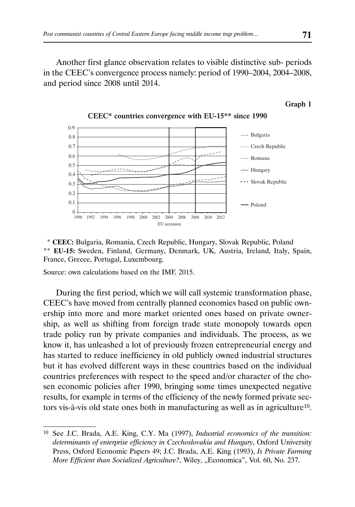Another first glance observation relates to visible distinctive sub- periods in the CEEC's convergence process namely: period of 1990–2004, 2004–2008, and period since 2008 until 2014.

#### Graph 1



CEEC\* countries convergence with EU-15\*\* since 1990

 \* **CEEC:** Bulgaria, Romania, Czech Republic, Hungary, Slovak Republic, Poland \*\* **EU-15:** Sweden, Finland, Germany, Denmark, UK, Austria, Ireland, Italy, Spain, France, Greece, Portugal, Luxembourg.

Source: own calculations based on the IMF, 2015.

During the first period, which we will call systemic transformation phase, CEEC's have moved from centrally planned economies based on public ownership into more and more market oriented ones based on private ownership, as well as shifting from foreign trade state monopoly towards open trade policy run by private companies and individuals. The process, as we know it, has unleashed a lot of previously frozen entrepreneurial energy and has started to reduce inefficiency in old publicly owned industrial structures but it has evolved different ways in these countries based on the individual countries preferences with respect to the speed and/or character of the chosen economic policies after 1990, bringing some times unexpected negative results, for example in terms of the efficiency of the newly formed private sectors vis-à-vis old state ones both in manufacturing as well as in agriculture10.

<sup>10</sup> See J.C. Brada, A.E. King, C.Y. Ma (1997), *Industrial economics of the transition: determinants of enterprise efficiency in Czechoslovakia and Hungary*, Oxford University Press, Oxford Economic Papers 49; J.C. Brada, A.E. King (1993), *Is Private Farming More Efficient than Socialized Agriculture?*, Wiley, "Economica", Vol. 60, No. 237.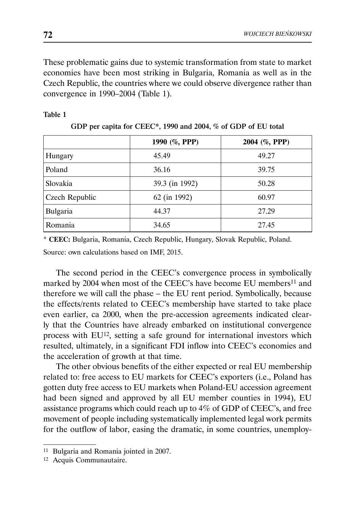These problematic gains due to systemic transformation from state to market economies have been most striking in Bulgaria, Romania as well as in the Czech Republic, the countries where we could observe divergence rather than convergence in 1990–2004 (Table 1).

|                | 1990 (%, PPP)  | 2004 (%, PPP) |  |  |  |  |  |  |
|----------------|----------------|---------------|--|--|--|--|--|--|
| Hungary        | 45.49          | 49.27         |  |  |  |  |  |  |
| Poland         | 36.16          | 39.75         |  |  |  |  |  |  |
| Slovakia       | 39.3 (in 1992) | 50.28         |  |  |  |  |  |  |
| Czech Republic | 62 (in 1992)   | 60.97         |  |  |  |  |  |  |
| Bulgaria       | 44.37          | 27.29         |  |  |  |  |  |  |
| Romania        | 34.65          | 27.45         |  |  |  |  |  |  |

| Table 1 |  |  |  |
|---------|--|--|--|
|         |  |  |  |

\* **CEEC:** Bulgaria, Romania, Czech Republic, Hungary, Slovak Republic, Poland. Source: own calculations based on IMF, 2015.

The second period in the CEEC's convergence process in symbolically marked by 2004 when most of the CEEC's have become EU members<sup>11</sup> and therefore we will call the phase – the EU rent period. Symbolically, because the effects/rents related to CEEC's membership have started to take place even earlier, ca 2000, when the pre-accession agreements indicated clearly that the Countries have already embarked on institutional convergence process with EU12, setting a safe ground for international investors which resulted, ultimately, in a significant FDI inflow into CEEC's economies and the acceleration of growth at that time.

The other obvious benefits of the either expected or real EU membership related to: free access to EU markets for CEEC's exporters (i.e., Poland has gotten duty free access to EU markets when Poland-EU accession agreement had been signed and approved by all EU member counties in 1994), EU assistance programs which could reach up to 4% of GDP of CEEC's, and free movement of people including systematically implemented legal work permits for the outflow of labor, easing the dramatic, in some countries, unemploy-

<sup>11</sup> Bulgaria and Romania jointed in 2007.

<sup>12</sup> Acquis Communautaire.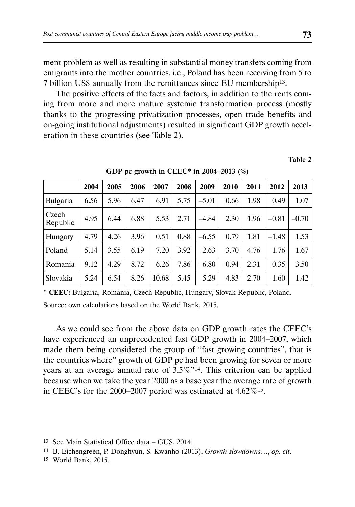ment problem as well as resulting in substantial money transfers coming from emigrants into the mother countries, i.e., Poland has been receiving from 5 to 7 billion US\$ annually from the remittances since EU membership13.

The positive effects of the facts and factors, in addition to the rents coming from more and more mature systemic transformation process (mostly thanks to the progressing privatization processes, open trade benefits and on-going institutional adjustments) resulted in significant GDP growth acceleration in these countries (see Table 2).

Table 2

|                   | 2004 | 2005 | 2006 | 2007  | 2008 | 2009    | 2010    | 2011 | 2012    | 2013    |
|-------------------|------|------|------|-------|------|---------|---------|------|---------|---------|
| <b>Bulgaria</b>   | 6.56 | 5.96 | 6.47 | 6.91  | 5.75 | $-5.01$ | 0.66    | 1.98 | 0.49    | 1.07    |
| Czech<br>Republic | 4.95 | 6.44 | 6.88 | 5.53  | 2.71 | $-4.84$ | 2.30    | 1.96 | $-0.81$ | $-0.70$ |
| Hungary           | 4.79 | 4.26 | 3.96 | 0.51  | 0.88 | $-6.55$ | 0.79    | 1.81 | $-1.48$ | 1.53    |
| Poland            | 5.14 | 3.55 | 6.19 | 7.20  | 3.92 | 2.63    | 3.70    | 4.76 | 1.76    | 1.67    |
| Romania           | 9.12 | 4.29 | 8.72 | 6.26  | 7.86 | $-6.80$ | $-0.94$ | 2.31 | 0.35    | 3.50    |
| Slovakia          | 5.24 | 6.54 | 8.26 | 10.68 | 5.45 | $-5.29$ | 4.83    | 2.70 | 1.60    | 1.42    |

GDP pc growth in CEEC\* in 2004–2013  $(\%)$ 

\* **CEEC:** Bulgaria, Romania, Czech Republic, Hungary, Slovak Republic, Poland.

Source: own calculations based on the World Bank, 2015.

As we could see from the above data on GDP growth rates the CEEC's have experienced an unprecedented fast GDP growth in 2004–2007, which made them being considered the group of "fast growing countries", that is the countries where" growth of GDP pc had been growing for seven or more years at an average annual rate of 3.5%"14. This criterion can be applied because when we take the year 2000 as a base year the average rate of growth in CEEC's for the 2000–2007 period was estimated at 4.62%15.

<sup>13</sup> See Main Statistical Office data – GUS, 2014.

<sup>14</sup> B. Eichengreen, P. Donghyun, S. Kwanho (2013), *Growth slowdowns*…, *op. cit*.

<sup>15</sup> World Bank, 2015.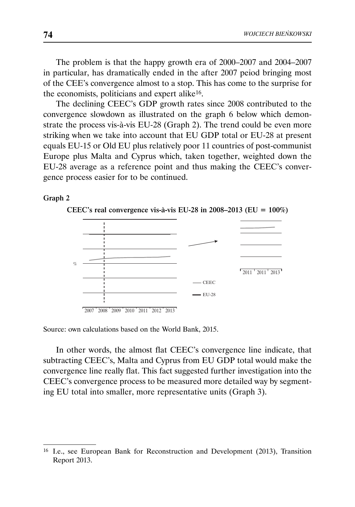The problem is that the happy growth era of 2000–2007 and 2004–2007 in particular, has dramatically ended in the after 2007 peiod bringing most of the CEE's convergence almost to a stop. This has come to the surprise for the economists, politicians and expert alike16.

The declining CEEC's GDP growth rates since 2008 contributed to the convergence slowdown as illustrated on the graph 6 below which demonstrate the process vis-à-vis EU-28 (Graph 2). The trend could be even more striking when we take into account that EU GDP total or EU-28 at present equals EU-15 or Old EU plus relatively poor 11 countries of post-communist Europe plus Malta and Cyprus which, taken together, weighted down the EU-28 average as a reference point and thus making the CEEC's convergence process easier for to be continued.

#### Graph 2





Source: own calculations based on the World Bank, 2015.

In other words, the almost flat CEEC's convergence line indicate, that subtracting CEEC's, Malta and Cyprus from EU GDP total would make the convergence line really flat. This fact suggested further investigation into the CEEC's convergence process to be measured more detailed way by segmenting EU total into smaller, more representative units (Graph 3).

<sup>16</sup> I.e., see European Bank for Reconstruction and Development (2013), Transition Report 2013.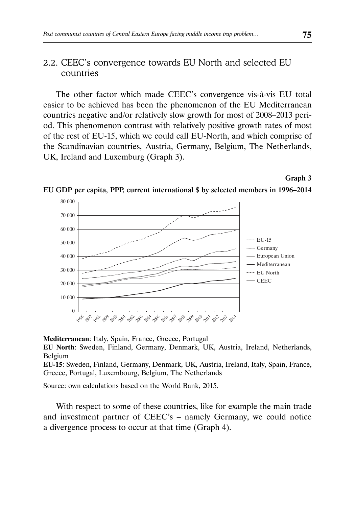### 2.2. CEEC's convergence towards EU North and selected EU countries

The other factor which made CEEC's convergence vis-à-vis EU total easier to be achieved has been the phenomenon of the EU Mediterranean countries negative and/or relatively slow growth for most of 2008–2013 period. This phenomenon contrast with relatively positive growth rates of most of the rest of EU-15, which we could call EU-North, and which comprise of the Scandinavian countries, Austria, Germany, Belgium, The Netherlands, UK, Ireland and Luxemburg (Graph 3).

#### Graph 3





**Mediterranean**: Italy, Spain, France, Greece, Portugal

**EU North**: Sweden, Finland, Germany, Denmark, UK, Austria, Ireland, Netherlands, Belgium

**EU-15**: Sweden, Finland, Germany, Denmark, UK, Austria, Ireland, Italy, Spain, France, Greece, Portugal, Luxembourg, Belgium, The Netherlands

Source: own calculations based on the World Bank, 2015.

With respect to some of these countries, like for example the main trade and investment partner of CEEC's – namely Germany, we could notice a divergence process to occur at that time (Graph 4).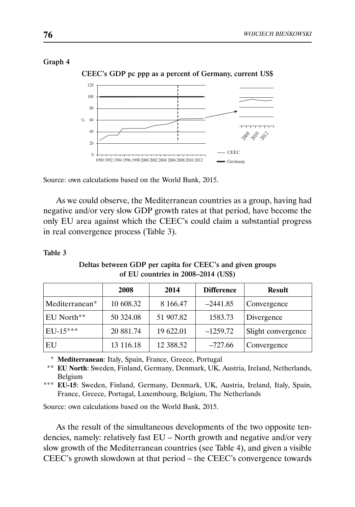### Graph 4



CEEC's GDP pc ppp as a percent of Germany, current US\$



As we could observe, the Mediterranean countries as a group, having had negative and/or very slow GDP growth rates at that period, have become the only EU area against which the CEEC's could claim a substantial progress in real convergence process (Table 3).

### Table 3

Deltas between GDP per capita for CEEC's and given groups of EU countries in 2008–2014 (US\$)

|                | 2008      | 2014      | <b>Difference</b> | Result             |
|----------------|-----------|-----------|-------------------|--------------------|
| Mediterranean* | 10 608.32 | 8 166.47  | $-2441.85$        | Convergence        |
| EU North**     | 50 324.08 | 51 907.82 | 1583.73           | Divergence         |
| $EU-15***$     | 20 881.74 | 19 622.01 | $-1259.72$        | Slight convergence |
| EU             | 13 116.18 | 12 388.52 | $-727.66$         | Convergence        |

\* **Mediterranean**: Italy, Spain, France, Greece, Portugal

 \*\* **EU North**: Sweden, Finland, Germany, Denmark, UK, Austria, Ireland, Netherlands, Belgium

\*\*\* **EU-15**: Sweden, Finland, Germany, Denmark, UK, Austria, Ireland, Italy, Spain, France, Greece, Portugal, Luxembourg, Belgium, The Netherlands

Source: own calculations based on the World Bank, 2015.

As the result of the simultaneous developments of the two opposite tendencies, namely: relatively fast EU – North growth and negative and/or very slow growth of the Mediterranean countries (see Table 4), and given a visible CEEC's growth slowdown at that period – the CEEC's convergence towards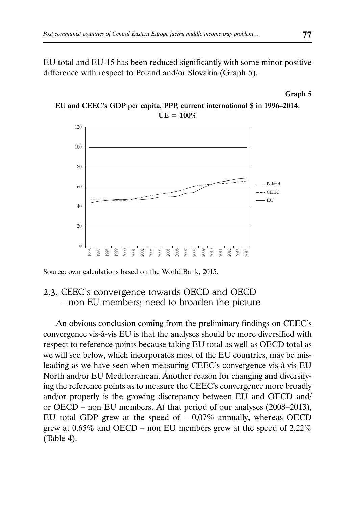EU total and EU-15 has been reduced significantly with some minor positive difference with respect to Poland and/or Slovakia (Graph 5).



EU and CEEC's GDP per capita, PPP, current international \$ in 1996–2014.  $UE = 100%$ 

Source: own calculations based on the World Bank, 2015.

# 2.3. CEEC's convergence towards OECD and OECD – non EU members; need to broaden the picture

An obvious conclusion coming from the preliminary findings on CEEC's convergence vis-à-vis EU is that the analyses should be more diversified with respect to reference points because taking EU total as well as OECD total as we will see below, which incorporates most of the EU countries, may be misleading as we have seen when measuring CEEC's convergence vis-à-vis EU North and/or EU Mediterranean. Another reason for changing and diversifying the reference points as to measure the CEEC's convergence more broadly and/or properly is the growing discrepancy between EU and OECD and/ or OECD – non EU members. At that period of our analyses (2008–2013), EU total GDP grew at the speed of  $-0.07\%$  annually, whereas OECD grew at 0.65% and OECD – non EU members grew at the speed of 2.22% (Table 4).

Graph 5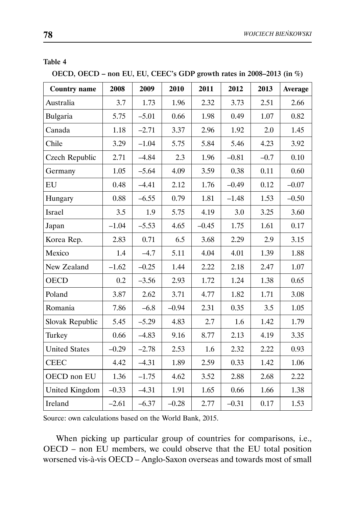### Table 4

OECD, OECD – non EU, EU, CEEC's GDP growth rates in 2008–2013 (in %)

| <b>Country name</b>  | 2008    | 2009    | 2010    | 2011    | 2012    | 2013   | Average |
|----------------------|---------|---------|---------|---------|---------|--------|---------|
| Australia            | 3.7     | 1.73    | 1.96    | 2.32    | 3.73    | 2.51   | 2.66    |
| Bulgaria             | 5.75    | $-5.01$ | 0.66    | 1.98    | 0.49    | 1.07   | 0.82    |
| Canada               | 1.18    | $-2.71$ | 3.37    | 2.96    | 1.92    | 2.0    | 1.45    |
| Chile                | 3.29    | $-1.04$ | 5.75    | 5.84    | 5.46    | 4.23   | 3.92    |
| Czech Republic       | 2.71    | $-4.84$ | 2.3     | 1.96    | $-0.81$ | $-0.7$ | 0.10    |
| Germany              | 1.05    | $-5.64$ | 4.09    | 3.59    | 0.38    | 0.11   | 0.60    |
| EU                   | 0.48    | $-4.41$ | 2.12    | 1.76    | $-0.49$ | 0.12   | $-0.07$ |
| Hungary              | 0.88    | $-6.55$ | 0.79    | 1.81    | $-1.48$ | 1.53   | $-0.50$ |
| Israel               | 3.5     | 1.9     | 5.75    | 4.19    | 3.0     | 3.25   | 3.60    |
| Japan                | $-1.04$ | $-5.53$ | 4.65    | $-0.45$ | 1.75    | 1.61   | 0.17    |
| Korea Rep.           | 2.83    | 0.71    | 6.5     | 3.68    | 2.29    | 2.9    | 3.15    |
| Mexico               | 1.4     | $-4.7$  | 5.11    | 4.04    | 4.01    | 1.39   | 1.88    |
| New Zealand          | $-1.62$ | $-0.25$ | 1.44    | 2.22    | 2.18    | 2.47   | 1.07    |
| <b>OECD</b>          | 0.2     | $-3.56$ | 2.93    | 1.72    | 1.24    | 1.38   | 0.65    |
| Poland               | 3.87    | 2.62    | 3.71    | 4.77    | 1.82    | 1.71   | 3.08    |
| Romania              | 7.86    | $-6.8$  | $-0.94$ | 2.31    | 0.35    | 3.5    | 1.05    |
| Slovak Republic      | 5.45    | $-5.29$ | 4.83    | 2.7     | 1.6     | 1.42   | 1.79    |
| Turkey               | 0.66    | $-4.83$ | 9.16    | 8.77    | 2.13    | 4.19   | 3.35    |
| <b>United States</b> | $-0.29$ | $-2.78$ | 2.53    | 1.6     | 2.32    | 2.22   | 0.93    |
| <b>CEEC</b>          | 4.42    | $-4.31$ | 1.89    | 2.59    | 0.33    | 1.42   | 1.06    |
| OECD non EU          | 1.36    | $-1.75$ | 4.62    | 3.52    | 2.88    | 2.68   | 2.22    |
| United Kingdom       | $-0.33$ | $-4.31$ | 1.91    | 1.65    | 0.66    | 1.66   | 1.38    |
| Ireland              | $-2.61$ | $-6.37$ | $-0.28$ | 2.77    | $-0.31$ | 0.17   | 1.53    |

Source: own calculations based on the World Bank, 2015.

When picking up particular group of countries for comparisons, i.e., OECD – non EU members, we could observe that the EU total position worsened vis-à-vis OECD – Anglo-Saxon overseas and towards most of small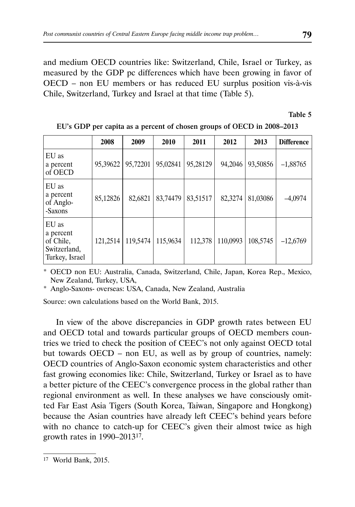and medium OECD countries like: Switzerland, Chile, Israel or Turkey, as measured by the GDP pc differences which have been growing in favor of OECD – non EU members or has reduced EU surplus position vis-à-vis Chile, Switzerland, Turkey and Israel at that time (Table 5).

Table 5

|                                                                   | 2008     | 2009     | 2010     | 2011     | 2012     | 2013     | <b>Difference</b> |
|-------------------------------------------------------------------|----------|----------|----------|----------|----------|----------|-------------------|
| EU as<br>a percent<br>of OECD                                     | 95,39622 | 95,72201 | 95,02841 | 95,28129 | 94,2046  | 93,50856 | $-1,88765$        |
| EU as<br>a percent<br>of Anglo-<br>-Saxons                        | 85,12826 | 82,6821  | 83,74479 | 83,51517 | 82,3274  | 81,03086 | $-4,0974$         |
| EU as<br>a percent<br>of Chile,<br>Switzerland,<br>Turkey, Israel | 121,2514 | 119,5474 | 115,9634 | 112,378  | 110,0993 | 108,5745 | $-12,6769$        |

|  | EU's GDP per capita as a percent of chosen groups of OECD in 2008-2013 |  |  |
|--|------------------------------------------------------------------------|--|--|
|  |                                                                        |  |  |

\* OECD non EU: Australia, Canada, Switzerland, Chile, Japan, Korea Rep., Mexico, New Zealand, Turkey, USA,

\* Anglo-Saxons- overseas: USA, Canada, New Zealand, Australia

Source: own calculations based on the World Bank, 2015.

In view of the above discrepancies in GDP growth rates between EU and OECD total and towards particular groups of OECD members countries we tried to check the position of CEEC's not only against OECD total but towards OECD – non EU, as well as by group of countries, namely: OECD countries of Anglo-Saxon economic system characteristics and other fast growing economies like: Chile, Switzerland, Turkey or Israel as to have a better picture of the CEEC's convergence process in the global rather than regional environment as well. In these analyses we have consciously omitted Far East Asia Tigers (South Korea, Taiwan, Singapore and Hongkong) because the Asian countries have already left CEEC's behind years before with no chance to catch-up for CEEC's given their almost twice as high growth rates in 1990–201317.

<sup>17</sup> World Bank, 2015.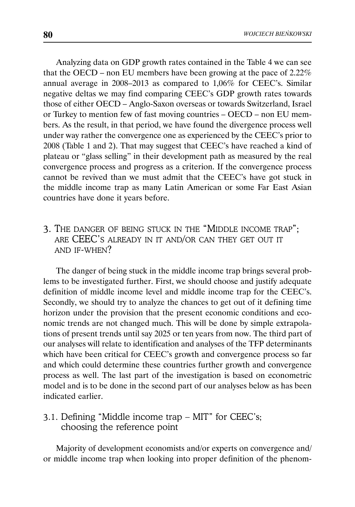Analyzing data on GDP growth rates contained in the Table 4 we can see that the OECD – non EU members have been growing at the pace of 2.22% annual average in 2008–2013 as compared to 1,06% for CEEC's. Similar negative deltas we may find comparing CEEC's GDP growth rates towards those of either OECD – Anglo-Saxon overseas or towards Switzerland, Israel or Turkey to mention few of fast moving countries – OECD – non EU members. As the result, in that period, we have found the divergence process well under way rather the convergence one as experienced by the CEEC's prior to 2008 (Table 1 and 2). That may suggest that CEEC's have reached a kind of plateau or "glass selling" in their development path as measured by the real convergence process and progress as a criterion. If the convergence process cannot be revived than we must admit that the CEEC's have got stuck in the middle income trap as many Latin American or some Far East Asian countries have done it years before.

# 3. THE DANGER OF BEING STUCK IN THE "MIDDLE INCOME TRAP"; ARE CEEC'S ALREADY IN IT AND/OR CAN THEY GET OUT IT AND IF-WHEN?

The danger of being stuck in the middle income trap brings several problems to be investigated further. First, we should choose and justify adequate definition of middle income level and middle income trap for the CEEC's. Secondly, we should try to analyze the chances to get out of it defining time horizon under the provision that the present economic conditions and economic trends are not changed much. This will be done by simple extrapolations of present trends until say 2025 or ten years from now. The third part of our analyses will relate to identification and analyses of the TFP determinants which have been critical for CEEC's growth and convergence process so far and which could determine these countries further growth and convergence process as well. The last part of the investigation is based on econometric model and is to be done in the second part of our analyses below as has been indicated earlier.

# 3.1. Defining "Middle income trap – MIT" for CEEC's; choosing the reference point

Majority of development economists and/or experts on convergence and/ or middle income trap when looking into proper definition of the phenom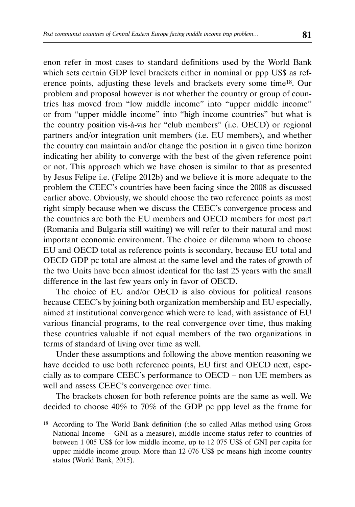enon refer in most cases to standard definitions used by the World Bank which sets certain GDP level brackets either in nominal or ppp US\$ as reference points, adjusting these levels and brackets every some time18. Our problem and proposal however is not whether the country or group of countries has moved from "low middle income" into "upper middle income" or from "upper middle income" into "high income countries" but what is the country position vis-à-vis her "club members" (i.e. OECD) or regional partners and/or integration unit members (i.e. EU members), and whether the country can maintain and/or change the position in a given time horizon indicating her ability to converge with the best of the given reference point or not. This approach which we have chosen is similar to that as presented by Jesus Felipe i.e. (Felipe 2012b) and we believe it is more adequate to the problem the CEEC's countries have been facing since the 2008 as discussed earlier above. Obviously, we should choose the two reference points as most right simply because when we discuss the CEEC's convergence process and the countries are both the EU members and OECD members for most part (Romania and Bulgaria still waiting) we will refer to their natural and most important economic environment. The choice or dilemma whom to choose EU and OECD total as reference points is secondary, because EU total and OECD GDP pc total are almost at the same level and the rates of growth of the two Units have been almost identical for the last 25 years with the small difference in the last few years only in favor of OECD.

The choice of EU and/or OECD is also obvious for political reasons because CEEC's by joining both organization membership and EU especially, aimed at institutional convergence which were to lead, with assistance of EU various financial programs, to the real convergence over time, thus making these countries valuable if not equal members of the two organizations in terms of standard of living over time as well.

Under these assumptions and following the above mention reasoning we have decided to use both reference points, EU first and OECD next, especially as to compare CEEC's performance to OECD – non UE members as well and assess CEEC's convergence over time.

The brackets chosen for both reference points are the same as well. We decided to choose 40% to 70% of the GDP pc ppp level as the frame for

<sup>18</sup> According to The World Bank definition (the so called Atlas method using Gross National Income – GNI as a measure), middle income status refer to countries of between 1 005 US\$ for low middle income, up to 12 075 US\$ of GNI per capita for upper middle income group. More than 12 076 US\$ pc means high income country status (World Bank, 2015).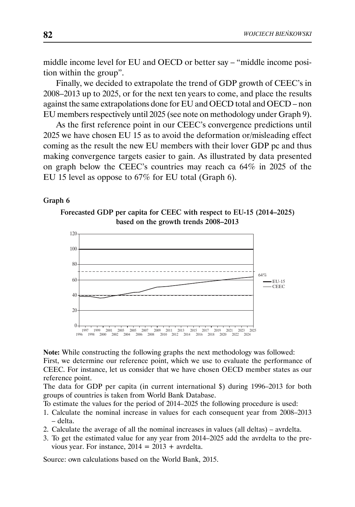middle income level for EU and OECD or better say – "middle income position within the group".

Finally, we decided to extrapolate the trend of GDP growth of CEEC's in 2008–2013 up to 2025, or for the next ten years to come, and place the results against the same extrapolations done for EU and OECD total and OECD – non EU members respectively until 2025 (see note on methodology under Graph 9).

As the first reference point in our CEEC's convergence predictions until 2025 we have chosen EU 15 as to avoid the deformation or/misleading effect coming as the result the new EU members with their lover GDP pc and thus making convergence targets easier to gain. As illustrated by data presented on graph below the CEEC's countries may reach ca 64% in 2025 of the EU 15 level as oppose to 67% for EU total (Graph 6).

### Graph 6





**Note:** While constructing the following graphs the next methodology was followed:

First, we determine our reference point, which we use to evaluate the performance of CEEC. For instance, let us consider that we have chosen OECD member states as our reference point.

The data for GDP per capita (in current international \$) during 1996–2013 for both groups of countries is taken from World Bank Database.

To estimate the values for the period of 2014–2025 the following procedure is used:

- 1. Calculate the nominal increase in values for each consequent year from 2008–2013 – delta.
- 2. Calculate the average of all the nominal increases in values (all deltas) avrdelta.
- 3. To get the estimated value for any year from 2014–2025 add the avrdelta to the previous year. For instance,  $2014 = 2013 +$  avrdelta.

Source: own calculations based on the World Bank, 2015.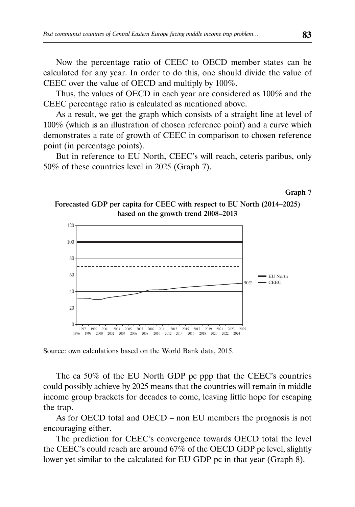Now the percentage ratio of CEEC to OECD member states can be calculated for any year. In order to do this, one should divide the value of CEEC over the value of OECD and multiply by 100%.

Thus, the values of OECD in each year are considered as 100% and the CEEC percentage ratio is calculated as mentioned above.

As a result, we get the graph which consists of a straight line at level of 100% (which is an illustration of chosen reference point) and a curve which demonstrates a rate of growth of CEEC in comparison to chosen reference point (in percentage points).

But in reference to EU North, CEEC's will reach, ceteris paribus, only 50% of these countries level in 2025 (Graph 7).

Graph 7 Forecasted GDP per capita for CEEC with respect to EU North (2014–2025)

based on the growth trend 2008–2013



Source: own calculations based on the World Bank data, 2015.

The ca 50% of the EU North GDP pc ppp that the CEEC's countries could possibly achieve by 2025 means that the countries will remain in middle income group brackets for decades to come, leaving little hope for escaping the trap.

As for OECD total and OECD – non EU members the prognosis is not encouraging either.

The prediction for CEEC's convergence towards OECD total the level the CEEC's could reach are around 67% of the OECD GDP pc level, slightly lower yet similar to the calculated for EU GDP pc in that year (Graph 8).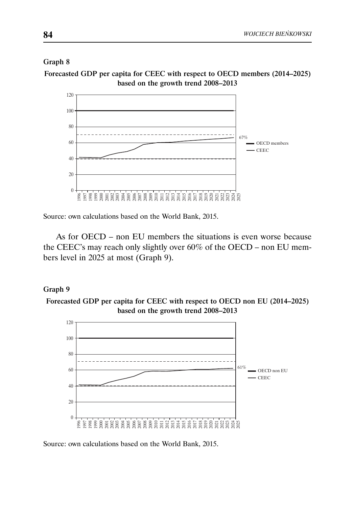### Graph 8

Forecasted GDP per capita for CEEC with respect to OECD members (2014–2025) based on the growth trend 2008–2013



Source: own calculations based on the World Bank, 2015.

As for OECD – non EU members the situations is even worse because the CEEC's may reach only slightly over 60% of the OECD – non EU members level in 2025 at most (Graph 9).

### Graph 9

Forecasted GDP per capita for CEEC with respect to OECD non EU (2014–2025) based on the growth trend 2008–2013



Source: own calculations based on the World Bank, 2015.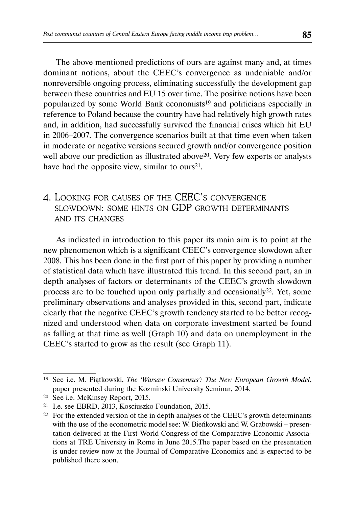The above mentioned predictions of ours are against many and, at times dominant notions, about the CEEC's convergence as undeniable and/or nonreversible ongoing process, eliminating successfully the development gap between these countries and EU 15 over time. The positive notions have been popularized by some World Bank economists19 and politicians especially in reference to Poland because the country have had relatively high growth rates and, in addition, had successfully survived the financial crises which hit EU in 2006–2007. The convergence scenarios built at that time even when taken in moderate or negative versions secured growth and/or convergence position well above our prediction as illustrated above<sup>20</sup>. Very few experts or analysts have had the opposite view, similar to ours<sup>21</sup>.

# 4. LOOKING FOR CAUSES OF THE CEEC'S CONVERGENCE SLOWDOWN: SOME HINTS ON GDP GROWTH DETERMINANTS AND ITS CHANGES

As indicated in introduction to this paper its main aim is to point at the new phenomenon which is a significant CEEC's convergence slowdown after 2008. This has been done in the first part of this paper by providing a number of statistical data which have illustrated this trend. In this second part, an in depth analyses of factors or determinants of the CEEC's growth slowdown process are to be touched upon only partially and occasionally22. Yet, some preliminary observations and analyses provided in this, second part, indicate clearly that the negative CEEC's growth tendency started to be better recognized and understood when data on corporate investment started be found as falling at that time as well (Graph 10) and data on unemployment in the CEEC's started to grow as the result (see Graph 11).

<sup>19</sup> See i.e. M. Piątkowski, *The 'Warsaw Consensus': The New European Growth Model*, paper presented during the Kozminski University Seminar, 2014.

<sup>20</sup> See i.e. McKinsey Report, 2015.

<sup>21</sup> I.e. see EBRD, 2013, Kosciuszko Foundation, 2015.

<sup>&</sup>lt;sup>22</sup> For the extended version of the in depth analyses of the CEEC's growth determinants with the use of the econometric model see: W. Bieńkowski and W. Grabowski – presentation delivered at the First World Congress of the Comparative Economic Associations at TRE University in Rome in June 2015.The paper based on the presentation is under review now at the Journal of Comparative Economics and is expected to be published there soon.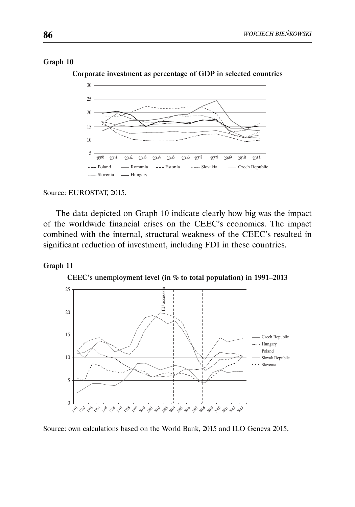### Graph 10



Corporate investment as percentage of GDP in selected countries

#### Source: EUROSTAT, 2015.

The data depicted on Graph 10 indicate clearly how big was the impact of the worldwide financial crises on the CEEC's economies. The impact combined with the internal, structural weakness of the CEEC's resulted in significant reduction of investment, including FDI in these countries.

### Graph 11

CEEC's unemployment level (in % to total population) in 1991–2013



Source: own calculations based on the World Bank, 2015 and ILO Geneva 2015.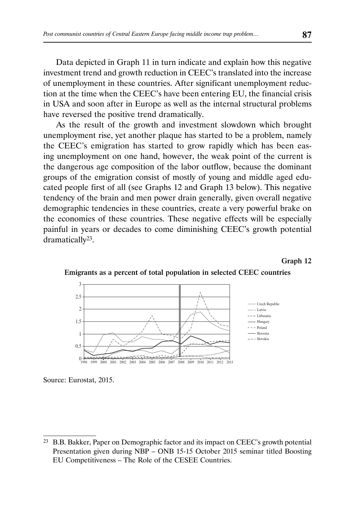Data depicted in Graph 11 in turn indicate and explain how this negative investment trend and growth reduction in CEEC's translated into the increase of unemployment in these countries. After significant unemployment reduction at the time when the CEEC's have been entering EU, the financial crisis in USA and soon after in Europe as well as the internal structural problems have reversed the positive trend dramatically.

As the result of the growth and investment slowdown which brought unemployment rise, yet another plaque has started to be a problem, namely the CEEC's emigration has started to grow rapidly which has been easing unemployment on one hand, however, the weak point of the current is the dangerous age composition of the labor outflow, because the dominant groups of the emigration consist of mostly of young and middle aged educated people first of all (see Graphs 12 and Graph 13 below). This negative tendency of the brain and men power drain generally, given overall negative demographic tendencies in these countries, create a very powerful brake on the economies of these countries. These negative effects will be especially painful in years or decades to come diminishing CEEC's growth potential dramatically23.

#### Graph 12



Emigrants as a percent of total population in selected CEEC countries

Source: Eurostat, 2015.

<sup>23</sup> B.B. Bakker, Paper on Demographic factor and its impact on CEEC's growth potential Presentation given during NBP – ONB 15-15 October 2015 seminar titled Boosting EU Competitiveness – The Role of the CESEE Countries.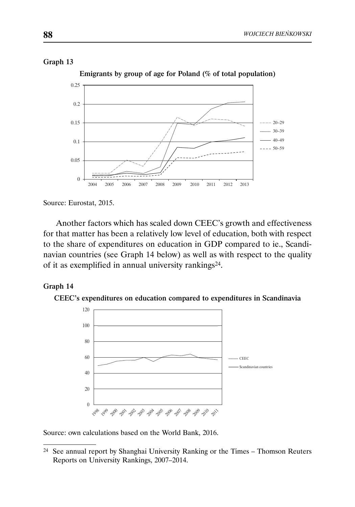### Graph 13



Emigrants by group of age for Poland (% of total population)

Source: Eurostat, 2015.

Another factors which has scaled down CEEC's growth and effectiveness for that matter has been a relatively low level of education, both with respect to the share of expenditures on education in GDP compared to ie., Scandinavian countries (see Graph 14 below) as well as with respect to the quality of it as exemplified in annual university rankings24.

### Graph 14





Source: own calculations based on the World Bank, 2016.

<sup>24</sup> See annual report by Shanghai University Ranking or the Times – Thomson Reuters Reports on University Rankings, 2007–2014.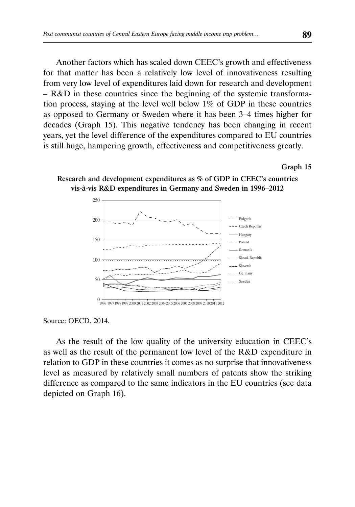Another factors which has scaled down CEEC's growth and effectiveness for that matter has been a relatively low level of innovativeness resulting from very low level of expenditures laid down for research and development – R&D in these countries since the beginning of the systemic transformation process, staying at the level well below 1% of GDP in these countries as opposed to Germany or Sweden where it has been 3–4 times higher for decades (Graph 15). This negative tendency has been changing in recent years, yet the level difference of the expenditures compared to EU countries is still huge, hampering growth, effectiveness and competitiveness greatly.

#### Graph 15



Research and development expenditures as % of GDP in CEEC's countries vis-à-vis R&D expenditures in Germany and Sweden in 1996–2012

Source: OECD, 2014.

As the result of the low quality of the university education in CEEC's as well as the result of the permanent low level of the R&D expenditure in relation to GDP in these countries it comes as no surprise that innovativeness level as measured by relatively small numbers of patents show the striking difference as compared to the same indicators in the EU countries (see data depicted on Graph 16).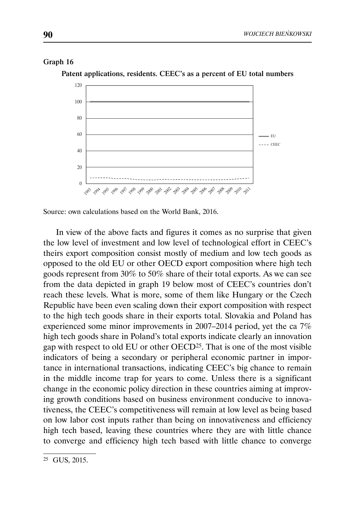### Graph 16

Patent applications, residents. CEEC's as a percent of EU total numbers



Source: own calculations based on the World Bank, 2016.

In view of the above facts and figures it comes as no surprise that given the low level of investment and low level of technological effort in CEEC's theirs export composition consist mostly of medium and low tech goods as opposed to the old EU or other OECD export composition where high tech goods represent from 30% to 50% share of their total exports. As we can see from the data depicted in graph 19 below most of CEEC's countries don't reach these levels. What is more, some of them like Hungary or the Czech Republic have been even scaling down their export composition with respect to the high tech goods share in their exports total. Slovakia and Poland has experienced some minor improvements in 2007–2014 period, yet the ca 7% high tech goods share in Poland's total exports indicate clearly an innovation gap with respect to old EU or other OECD25. That is one of the most visible indicators of being a secondary or peripheral economic partner in importance in international transactions, indicating CEEC's big chance to remain in the middle income trap for years to come. Unless there is a significant change in the economic policy direction in these countries aiming at improving growth conditions based on business environment conducive to innovativeness, the CEEC's competitiveness will remain at low level as being based on low labor cost inputs rather than being on innovativeness and efficiency high tech based, leaving these countries where they are with little chance to converge and efficiency high tech based with little chance to converge

<sup>25</sup> GUS, 2015.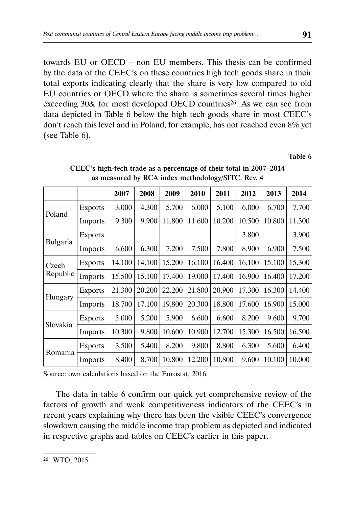towards EU or OECD – non EU members. This thesis can be confirmed by the data of the CEEC's on these countries high tech goods share in their total exports indicating clearly that the share is very low compared to old EU countries or OECD where the share is sometimes several times higher exceeding 30& for most developed OECD countries<sup>26</sup>. As we can see from data depicted in Table 6 below the high tech goods share in most CEEC's don't reach this level and in Poland, for example, has not reached even 8% yet (see Table 6).

Table 6

|                   |                | 2007   | 2008   | 2009   | 2010   | 2011   | 2012   | 2013   | 2014   |
|-------------------|----------------|--------|--------|--------|--------|--------|--------|--------|--------|
| Poland            | <b>Exports</b> | 3.000  | 4.300  | 5.700  | 6.000  | 5.100  | 6.000  | 6.700  | 7.700  |
|                   | <b>Imports</b> | 9.300  | 9.900  | 11.800 | 11.600 | 10.200 | 10.500 | 10.800 | 11.300 |
|                   | <b>Exports</b> |        |        |        |        |        | 3.800  |        | 3.900  |
| Bulgaria          | <b>Imports</b> | 6.600  | 6.300  | 7.200  | 7.500  | 7.800  | 8.900  | 6.900  | 7.500  |
| Czech<br>Republic | <b>Exports</b> | 14.100 | 14.100 | 15.200 | 16.100 | 16.400 | 16.100 | 15.100 | 15.300 |
|                   | <b>Imports</b> | 15.500 | 15.100 | 17.400 | 19.000 | 17.400 | 16.900 | 16.400 | 17.200 |
|                   | <b>Exports</b> | 21.300 | 20.200 | 22.200 | 21.800 | 20.900 | 17.300 | 16.300 | 14.400 |
| Hungary           | <b>Imports</b> | 18.700 | 17.100 | 19.800 | 20.300 | 18.800 | 17.600 | 16.900 | 15.000 |
|                   | <b>Exports</b> | 5.000  | 5.200  | 5.900  | 6.600  | 6.600  | 8.200  | 9.600  | 9.700  |
| Slovakia          | Imports        | 10.300 | 9.800  | 10.600 | 10.900 | 12.700 | 15.300 | 16.500 | 16.500 |
| Romania           | <b>Exports</b> | 3.500  | 5.400  | 8.200  | 9.800  | 8.800  | 6.300  | 5.600  | 6.400  |
|                   | Imports        | 8.400  | 8.700  | 10.800 | 12.200 | 10.800 | 9.600  | 10.100 | 10.000 |

CEEC's high-tech trade as a percentage of their total in 2007–2014 as measured by RCA index methodology/SITC. Rev. 4

Source: own calculations based on the Eurostat, 2016.

The data in table 6 confirm our quick yet comprehensive review of the factors of growth and weak competitiveness indicators of the CEEC's in recent years explaining why there has been the visible CEEC's convergence slowdown causing the middle income trap problem as depicted and indicated in respective graphs and tables on CEEC's earlier in this paper.

<sup>26</sup> WTO, 2015.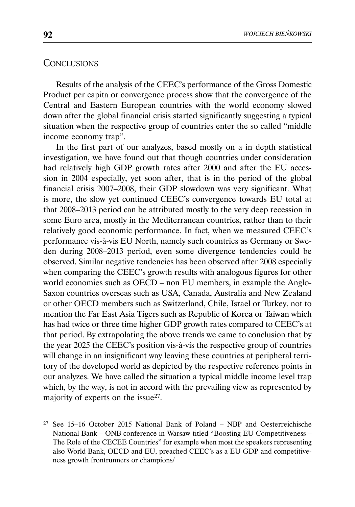### **CONCLUSIONS**

Results of the analysis of the CEEC's performance of the Gross Domestic Product per capita or convergence process show that the convergence of the Central and Eastern European countries with the world economy slowed down after the global financial crisis started significantly suggesting a typical situation when the respective group of countries enter the so called "middle income economy trap".

In the first part of our analyzes, based mostly on a in depth statistical investigation, we have found out that though countries under consideration had relatively high GDP growth rates after 2000 and after the EU accession in 2004 especially, yet soon after, that is in the period of the global financial crisis 2007–2008, their GDP slowdown was very significant. What is more, the slow yet continued CEEC's convergence towards EU total at that 2008–2013 period can be attributed mostly to the very deep recession in some Euro area, mostly in the Mediterranean countries, rather than to their relatively good economic performance. In fact, when we measured CEEC's performance vis-à-vis EU North, namely such countries as Germany or Sweden during 2008–2013 period, even some divergence tendencies could be observed. Similar negative tendencies has been observed after 2008 especially when comparing the CEEC's growth results with analogous figures for other world economies such as OECD – non EU members, in example the Anglo-Saxon countries overseas such as USA, Canada, Australia and New Zealand or other OECD members such as Switzerland, Chile, Israel or Turkey, not to mention the Far East Asia Tigers such as Republic of Korea or Taiwan which has had twice or three time higher GDP growth rates compared to CEEC's at that period. By extrapolating the above trends we came to conclusion that by the year 2025 the CEEC's position vis-à-vis the respective group of countries will change in an insignificant way leaving these countries at peripheral territory of the developed world as depicted by the respective reference points in our analyzes. We have called the situation a typical middle income level trap which, by the way, is not in accord with the prevailing view as represented by majority of experts on the issue27.

<sup>27</sup> See 15–16 October 2015 National Bank of Poland – NBP and Oesterreichische National Bank – ONB conference in Warsaw titled "Boosting EU Competitiveness – The Role of the CECEE Countries" for example when most the speakers representing also World Bank, OECD and EU, preached CEEC's as a EU GDP and competitiveness growth frontrunners or champions/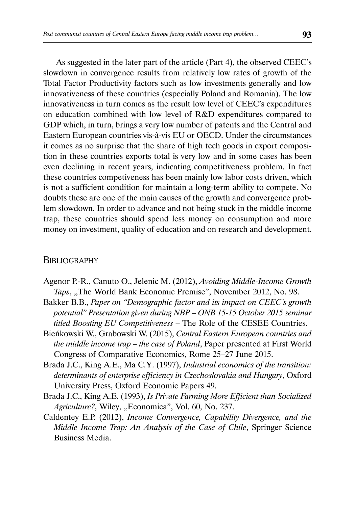As suggested in the later part of the article (Part 4), the observed CEEC's slowdown in convergence results from relatively low rates of growth of the Total Factor Productivity factors such as low investments generally and low innovativeness of these countries (especially Poland and Romania). The low innovativeness in turn comes as the result low level of CEEC's expenditures on education combined with low level of R&D expenditures compared to GDP which, in turn, brings a very low number of patents and the Central and Eastern European countries vis-à-vis EU or OECD. Under the circumstances it comes as no surprise that the share of high tech goods in export composition in these countries exports total is very low and in some cases has been even declining in recent years, indicating competitiveness problem. In fact these countries competiveness has been mainly low labor costs driven, which is not a sufficient condition for maintain a long-term ability to compete. No doubts these are one of the main causes of the growth and convergence problem slowdown. In order to advance and not being stuck in the middle income trap, these countries should spend less money on consumption and more money on investment, quality of education and on research and development.

### **BIBLIOGRAPHY**

- Agenor P.-R., Canuto O., Jelenic M. (2012), *Avoiding Middle-Income Growth*  Taps, "The World Bank Economic Premise", November 2012, No. 98.
- Bakker B.B., *Paper on "Demographic factor and its impact on CEEC's growth potential" Presentation given during NBP – ONB 15-15 October 2015 seminar titled Boosting EU Competitiveness* – The Role of the CESEE Countries.
- Bieńkowski W., Grabowski W. (2015), *Central Eastern European countries and the middle income trap – the case of Poland*, Paper presented at First World Congress of Comparative Economics, Rome 25–27 June 2015.
- Brada J.C., King A.E., Ma C.Y. (1997), *Industrial economics of the transition: determinants of enterprise efficiency in Czechoslovakia and Hungary*, Oxford University Press, Oxford Economic Papers 49.
- Brada J.C., King A.E. (1993), *Is Private Farming More Efficient than Socialized*  Agriculture?, Wiley, "Economica", Vol. 60, No. 237.
- Caldentey E.P. (2012), *Income Convergence, Capability Divergence, and the Middle Income Trap: An Analysis of the Case of Chile*, Springer Science Business Media.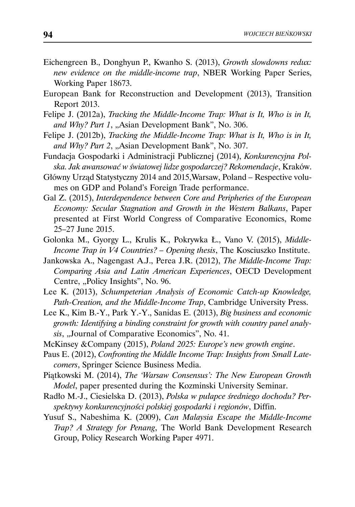- Eichengreen B., Donghyun P., Kwanho S. (2013), *Growth slowdowns redux: new evidence on the middle-income trap*, NBER Working Paper Series, Working Paper 18673.
- European Bank for Reconstruction and Development (2013), Transition Report 2013.
- Felipe J. (2012a), *Tracking the Middle-Income Trap: What is It, Who is in It,*  and Why? Part 1, "Asian Development Bank", No. 306.
- Felipe J. (2012b), *Tracking the Middle-Income Trap: What is It, Who is in It,*  and Why? Part 2, "Asian Development Bank", No. 307.
- Fundacja Gospodarki i Administracji Publicznej (2014), *Konkurencyjna Polska. Jak awansować w światowej lidze gospodarczej? Rekomendacje*, Kraków.
- Główny Urząd Statystyczny 2014 and 2015,Warsaw, Poland Respective volumes on GDP and Poland's Foreign Trade performance.
- Gal Z. (2015), *Interdependence between Core and Peripheries of the European Economy: Secular Stagnation and Growth in the Western Balkans*, Paper presented at First World Congress of Comparative Economics, Rome 25–27 June 2015.
- Golonka M., Gyorgy L., Krulis K., Pokrywka Ł., Vano V. (2015), *Middle-Income Trap in V4 Countries? – Opening thesis*, The Kosciuszko Institute.
- Jankowska A., Nagengast A.J., Perea J.R. (2012), *The Middle-Income Trap: Comparing Asia and Latin American Experiences*, OECD Development Centre, "Policy Insights", No. 96.
- Lee K. (2013), *Schumpeterian Analysis of Economic Catch-up Knowledge, Path-Creation, and the Middle-Income Trap*, Cambridge University Press.
- Lee K., Kim B.-Y., Park Y.-Y., Sanidas E. (2013), *Big business and economic growth: Identifying a binding constraint for growth with country panel analysis*, "Journal of Comparative Economics", No. 41.
- McKinsey &Company (2015), *Poland 2025: Europe's new growth engine*.
- Paus E. (2012), *Confronting the Middle Income Trap: Insights from Small Latecomers*, Springer Science Business Media.
- Piątkowski M. (2014), *The 'Warsaw Consensus': The New European Growth Model*, paper presented during the Kozminski University Seminar.
- Radło M.-J., Ciesielska D. (2013), *Polska w pułapce średniego dochodu? Perspektywy konkurencyjności polskiej gospodarki i regionów*, Diffin.
- Yusuf S., Nabeshima K. (2009), *Can Malaysia Escape the Middle-Income Trap? A Strategy for Penang*, The World Bank Development Research Group, Policy Research Working Paper 4971.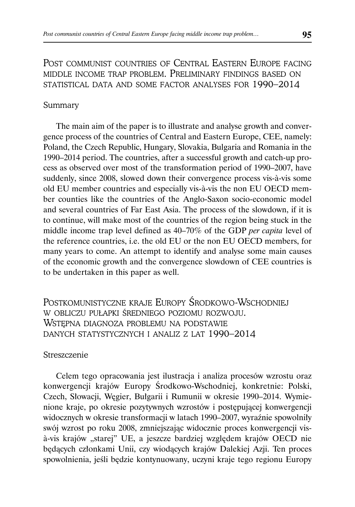POST COMMUNIST COUNTRIES OF CENTRAL EASTERN EUROPE FACING MIDDLE INCOME TRAP PROBLEM. PRELIMINARY FINDINGS BASED ON STATISTICAL DATA AND SOME FACTOR ANALYSES FOR 1990–2014

### Summary

The main aim of the paper is to illustrate and analyse growth and convergence process of the countries of Central and Eastern Europe, CEE, namely: Poland, the Czech Republic, Hungary, Slovakia, Bulgaria and Romania in the 1990–2014 period. The countries, after a successful growth and catch-up process as observed over most of the transformation period of 1990–2007, have suddenly, since 2008, slowed down their convergence process vis-à-vis some old EU member countries and especially vis-à-vis the non EU OECD member counties like the countries of the Anglo-Saxon socio-economic model and several countries of Far East Asia. The process of the slowdown, if it is to continue, will make most of the countries of the region being stuck in the middle income trap level defined as 40–70% of the GDP *per capita* level of the reference countries, i.e. the old EU or the non EU OECD members, for many years to come. An attempt to identify and analyse some main causes of the economic growth and the convergence slowdown of CEE countries is to be undertaken in this paper as well.

POSTKOMUNISTYCZNE KRAJE EUROPY ŚRODKOWO-WSCHODNIEJ W OBLICZU PUŁAPKI ŚREDNIEGO POZIOMU ROZWOJU. WSTĘPNA DIAGNOZA PROBLEMU NA PODSTAWIE DANYCH STATYSTYCZNYCH I ANALIZ Z LAT 1990–2014

### Streszczenie

Celem tego opracowania jest ilustracja i analiza procesów wzrostu oraz konwergencji krajów Europy Środkowo-Wschodniej, konkretnie: Polski, Czech, Słowacji, Węgier, Bułgarii i Rumunii w okresie 1990–2014. Wymienione kraje, po okresie pozytywnych wzrostów i postępującej konwergencji widocznych w okresie transformacji w latach 1990–2007, wyraźnie spowolniły swój wzrost po roku 2008, zmniejszając widocznie proces konwergencji visà-vis krajów "starej" UE, a jeszcze bardziej względem krajów OECD nie będących członkami Unii, czy wiodących krajów Dalekiej Azji. Ten proces spowolnienia, jeśli będzie kontynuowany, uczyni kraje tego regionu Europy